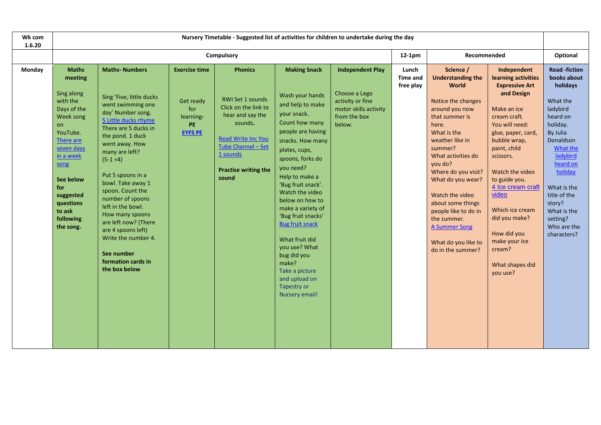| Wk com<br>1.6.20 | Nursery Timetable - Suggested list of activities for children to undertake during the day                                                                                                                                         |                                                                                                                                                                                                                                                                                                                                                                                                                                                                     |                                                                                      |                                                                                                                                                                                                  |                                                                                                                                                                                                                                                                                                                                                                                                                                                                          |                                                                                                                 |                                       |                                                                                                                                                                                                                                                                                                                                                                                                |                                                                                                                                                                                                                                                                                                                                                                              |                                                                                                                                                                                                                                                                           |  |  |
|------------------|-----------------------------------------------------------------------------------------------------------------------------------------------------------------------------------------------------------------------------------|---------------------------------------------------------------------------------------------------------------------------------------------------------------------------------------------------------------------------------------------------------------------------------------------------------------------------------------------------------------------------------------------------------------------------------------------------------------------|--------------------------------------------------------------------------------------|--------------------------------------------------------------------------------------------------------------------------------------------------------------------------------------------------|--------------------------------------------------------------------------------------------------------------------------------------------------------------------------------------------------------------------------------------------------------------------------------------------------------------------------------------------------------------------------------------------------------------------------------------------------------------------------|-----------------------------------------------------------------------------------------------------------------|---------------------------------------|------------------------------------------------------------------------------------------------------------------------------------------------------------------------------------------------------------------------------------------------------------------------------------------------------------------------------------------------------------------------------------------------|------------------------------------------------------------------------------------------------------------------------------------------------------------------------------------------------------------------------------------------------------------------------------------------------------------------------------------------------------------------------------|---------------------------------------------------------------------------------------------------------------------------------------------------------------------------------------------------------------------------------------------------------------------------|--|--|
|                  | Compulsory<br>Recommended<br>$12-1pm$                                                                                                                                                                                             |                                                                                                                                                                                                                                                                                                                                                                                                                                                                     |                                                                                      |                                                                                                                                                                                                  |                                                                                                                                                                                                                                                                                                                                                                                                                                                                          |                                                                                                                 |                                       | Optional                                                                                                                                                                                                                                                                                                                                                                                       |                                                                                                                                                                                                                                                                                                                                                                              |                                                                                                                                                                                                                                                                           |  |  |
| Monday           | <b>Maths</b><br>meeting<br>Sing along<br>with the<br>Days of the<br>Week song<br>on<br>YouTube.<br>There are<br>seven days<br>in a week<br>song<br>See below<br>for<br>suggested<br>questions<br>to ask<br>following<br>the song. | <b>Maths-Numbers</b><br>Sing 'Five, little ducks<br>went swimming one<br>day' Number song.<br>5 Little ducks rhyme<br>There are 5 ducks in<br>the pond. 1 duck<br>went away. How<br>many are left?<br>$(5-1=4)$<br>Put 5 spoons in a<br>bowl. Take away 1<br>spoon. Count the<br>number of spoons<br>left in the bowl.<br>How many spoons<br>are left now? (There<br>are 4 spoons left)<br>Write the number 4.<br>See number<br>formation cards in<br>the box below | <b>Exercise time</b><br>Get ready<br>for<br>learning-<br><b>PE</b><br><b>EYFS PE</b> | <b>Phonics</b><br>RWI Set 1 sounds<br>Click on the link to<br>hear and say the<br>sounds.<br><b>Read Write Inc You</b><br>Tube Channel - Set<br>1 sounds<br><b>Practise writing the</b><br>sound | <b>Making Snack</b><br>Wash your hands<br>and help to make<br>your snack.<br>Count how many<br>people are having<br>snacks. How many<br>plates, cups,<br>spoons, forks do<br>you need?<br>Help to make a<br>'Bug fruit snack'.<br>Watch the video<br>below on how to<br>make a variety of<br>'Bug fruit snacks'<br><b>Bug fruit snack</b><br>What fruit did<br>you use? What<br>bug did you<br>make?<br>Take a picture<br>and upload on<br>Tapestry or<br>Nursery email! | <b>Independent Play</b><br>Choose a Lego<br>activity or fine<br>motor skills activity<br>from the box<br>below. | Lunch<br><b>Time and</b><br>free play | Science /<br><b>Understanding the</b><br>World<br>Notice the changes<br>around you now<br>that summer is<br>here.<br>What is the<br>weather like in<br>summer?<br>What activities do<br>you do?<br>Where do you visit?<br>What do you wear?<br>Watch the video<br>about some things<br>people like to do in<br>the summer.<br><b>A Summer Song</b><br>What do you like to<br>do in the summer? | Independent<br>learning activities<br><b>Expressive Art</b><br>and Design<br>Make an ice<br>cream craft.<br>You will need:<br>glue, paper, card,<br>bubble wrap,<br>paint, child<br>scissors.<br>Watch the video<br>to guide you.<br>4 Ice cream craft<br>video<br>Which ice cream<br>did you make?<br>How did you<br>make your Ice<br>cream?<br>What shapes did<br>you use? | <b>Read -fiction</b><br>books about<br>holidays<br>What the<br>ladybird<br>heard on<br>holiday.<br>By Julia<br>Donaldson<br>What the<br>ladybird<br>heard on<br>holiday<br>What is the<br>title of the<br>story?<br>What is the<br>setting?<br>Who are the<br>characters? |  |  |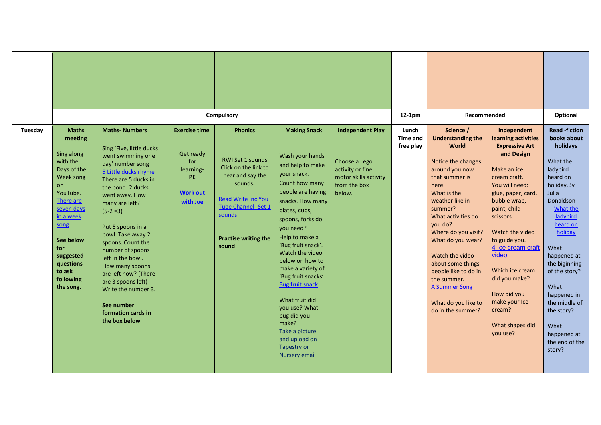|         |                                                                                                                                                                                                                                   |                                                                                                                                                                                                                                                                                                                                                                                                                                                                      |                                                                                                   | Compulsory                                                                                                                                                                                                    |                                                                                                                                                                                                                                                                                                                                                                                                                                                                          |                                                                                                                 | 12-1pm                                | Recommended                                                                                                                                                                                                                                                                                                                                                                                    |                                                                                                                                                                                                                                                                                                                                                                              | Optional                                                                                                                                                                                                                                                                                                                                |
|---------|-----------------------------------------------------------------------------------------------------------------------------------------------------------------------------------------------------------------------------------|----------------------------------------------------------------------------------------------------------------------------------------------------------------------------------------------------------------------------------------------------------------------------------------------------------------------------------------------------------------------------------------------------------------------------------------------------------------------|---------------------------------------------------------------------------------------------------|---------------------------------------------------------------------------------------------------------------------------------------------------------------------------------------------------------------|--------------------------------------------------------------------------------------------------------------------------------------------------------------------------------------------------------------------------------------------------------------------------------------------------------------------------------------------------------------------------------------------------------------------------------------------------------------------------|-----------------------------------------------------------------------------------------------------------------|---------------------------------------|------------------------------------------------------------------------------------------------------------------------------------------------------------------------------------------------------------------------------------------------------------------------------------------------------------------------------------------------------------------------------------------------|------------------------------------------------------------------------------------------------------------------------------------------------------------------------------------------------------------------------------------------------------------------------------------------------------------------------------------------------------------------------------|-----------------------------------------------------------------------------------------------------------------------------------------------------------------------------------------------------------------------------------------------------------------------------------------------------------------------------------------|
| Tuesday | <b>Maths</b><br>meeting<br>Sing along<br>with the<br>Days of the<br>Week song<br>on<br>YouTube.<br>There are<br>seven days<br>in a week<br>song<br>See below<br>for<br>suggested<br>questions<br>to ask<br>following<br>the song. | <b>Maths-Numbers</b><br>Sing 'Five, little ducks<br>went swimming one<br>day' number song<br>5 Little ducks rhyme<br>There are 5 ducks in<br>the pond. 2 ducks<br>went away. How<br>many are left?<br>$(5-2=3)$<br>Put 5 spoons in a<br>bowl. Take away 2<br>spoons. Count the<br>number of spoons<br>left in the bowl.<br>How many spoons<br>are left now? (There<br>are 3 spoons left)<br>Write the number 3.<br>See number<br>formation cards in<br>the box below | <b>Exercise time</b><br>Get ready<br>for<br>learning-<br><b>PE</b><br><b>Work out</b><br>with Joe | <b>Phonics</b><br><b>RWI Set 1 sounds</b><br>Click on the link to<br>hear and say the<br>sounds.<br><b>Read Write Inc You</b><br><b>Tube Channel- Set 1</b><br>sounds<br><b>Practise writing the</b><br>sound | <b>Making Snack</b><br>Wash your hands<br>and help to make<br>your snack.<br>Count how many<br>people are having<br>snacks. How many<br>plates, cups,<br>spoons, forks do<br>you need?<br>Help to make a<br>'Bug fruit snack'.<br>Watch the video<br>below on how to<br>make a variety of<br>'Bug fruit snacks'<br><b>Bug fruit snack</b><br>What fruit did<br>you use? What<br>bug did you<br>make?<br>Take a picture<br>and upload on<br>Tapestry or<br>Nursery email! | <b>Independent Play</b><br>Choose a Lego<br>activity or fine<br>motor skills activity<br>from the box<br>below. | Lunch<br><b>Time and</b><br>free play | Science /<br><b>Understanding the</b><br>World<br>Notice the changes<br>around you now<br>that summer is<br>here.<br>What is the<br>weather like in<br>summer?<br>What activities do<br>you do?<br>Where do you visit?<br>What do you wear?<br>Watch the video<br>about some things<br>people like to do in<br>the summer.<br><b>A Summer Song</b><br>What do you like to<br>do in the summer? | Independent<br>learning activities<br><b>Expressive Art</b><br>and Design<br>Make an ice<br>cream craft.<br>You will need:<br>glue, paper, card,<br>bubble wrap,<br>paint, child<br>scissors.<br>Watch the video<br>to guide you.<br>4 Ice cream craft<br>video<br>Which ice cream<br>did you make?<br>How did you<br>make your Ice<br>cream?<br>What shapes did<br>you use? | <b>Read-fiction</b><br>books about<br>holidays<br>What the<br>ladybird<br>heard on<br>holiday.By<br>Julia<br>Donaldson<br>What the<br>ladybird<br>heard on<br>holiday<br>What<br>happened at<br>the biginning<br>of the story?<br>What<br>happened in<br>the middle of<br>the story?<br>What<br>happened at<br>the end of the<br>story? |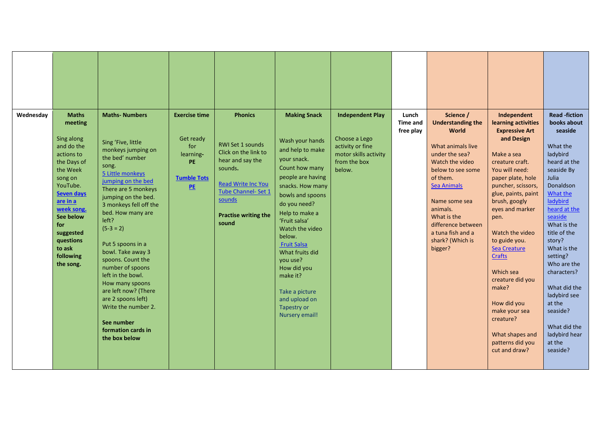| Wednesdav<br><b>Maths</b><br>meeting<br>Sing along<br>and do the<br>actions to<br>the Days of<br>the Week<br>song on<br>YouTube.<br><b>Seven days</b><br>are in a<br>week song. | <b>Maths-Numbers</b><br>Sing 'Five, little<br>monkeys jumping on<br>the bed' number<br>song.<br>5 Little monkeys<br>jumping on the bed<br>There are 5 monkeys<br>jumping on the bed.<br>3 monkeys fell off the                                                                               | <b>Exercise time</b><br>Get ready<br>for<br>learning-<br>PE<br><b>Tumble Tots</b><br>PE | <b>Phonics</b><br><b>RWI Set 1 sounds</b><br>Click on the link to<br>hear and say the<br>sounds.<br><b>Read Write Inc You</b><br>Tube Channel- Set 1<br>sounds | <b>Making Snack</b><br>Wash your hands<br>and help to make<br>your snack.<br>Count how many<br>people are having<br>snacks. How many<br>bowls and spoons<br>do you need?                                         | <b>Independent Play</b><br>Choose a Lego<br>activity or fine<br>motor skills activity<br>from the box<br>below. | Lunch<br><b>Time and</b><br>free play | Science /<br><b>Understanding the</b><br><b>World</b><br>What animals live<br>under the sea?<br>Watch the video<br>below to see some<br>of them.<br><b>Sea Animals</b><br>Name some sea<br>animals. | Independent<br>learning activities<br><b>Expressive Art</b><br>and Design<br>Make a sea<br>creature craft.<br>You will need:<br>paper plate, hole<br>puncher, scissors,<br>glue, paints, paint<br>brush, googly<br>eyes and marker | <b>Read-fiction</b><br>books about<br>seaside<br>What the<br>ladybird<br>heard at the<br>seaside By<br>Julia<br>Donaldson<br>What the<br>ladybird<br>heard at the                                                      |
|---------------------------------------------------------------------------------------------------------------------------------------------------------------------------------|----------------------------------------------------------------------------------------------------------------------------------------------------------------------------------------------------------------------------------------------------------------------------------------------|-----------------------------------------------------------------------------------------|----------------------------------------------------------------------------------------------------------------------------------------------------------------|------------------------------------------------------------------------------------------------------------------------------------------------------------------------------------------------------------------|-----------------------------------------------------------------------------------------------------------------|---------------------------------------|-----------------------------------------------------------------------------------------------------------------------------------------------------------------------------------------------------|------------------------------------------------------------------------------------------------------------------------------------------------------------------------------------------------------------------------------------|------------------------------------------------------------------------------------------------------------------------------------------------------------------------------------------------------------------------|
| See below<br>for<br>suggested<br>questions<br>to ask<br>following<br>the song.                                                                                                  | bed. How many are<br>left?<br>$(5-3=2)$<br>Put 5 spoons in a<br>bowl. Take away 3<br>spoons. Count the<br>number of spoons<br>left in the bowl.<br>How many spoons<br>are left now? (There<br>are 2 spoons left)<br>Write the number 2.<br>See number<br>formation cards in<br>the box below |                                                                                         | <b>Practise writing the</b><br>sound                                                                                                                           | Help to make a<br>'Fruit salsa'<br>Watch the video<br>below.<br><b>Fruit Salsa</b><br>What fruits did<br>vou use?<br>How did you<br>make it?<br>Take a picture<br>and upload on<br>Tapestry or<br>Nursery email! |                                                                                                                 |                                       | What is the<br>difference between<br>a tuna fish and a<br>shark? (Which is<br>bigger?                                                                                                               | pen.<br>Watch the video<br>to guide you.<br>Sea Creature<br><b>Crafts</b><br>Which sea<br>creature did you<br>make?<br>How did you<br>make your sea<br>creature?<br>What shapes and<br>patterns did you<br>cut and draw?           | seaside<br>What is the<br>title of the<br>story?<br>What is the<br>setting?<br>Who are the<br>characters?<br>What did the<br>ladybird see<br>at the<br>seaside?<br>What did the<br>ladybird hear<br>at the<br>seaside? |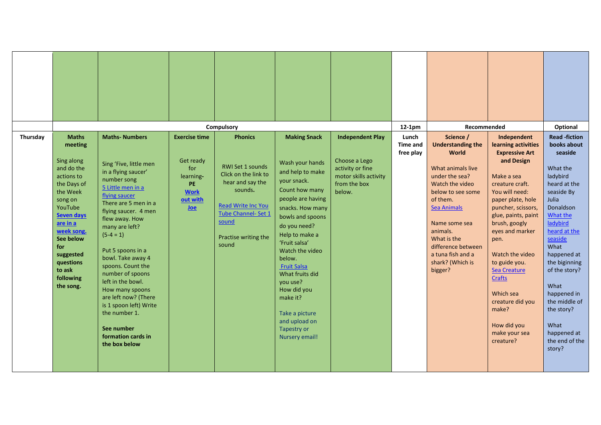|          |                                                                                                                                                                                                                                                     |                                                                                                                                                                                                                                                                                                                                                                                                                                                                                |                                                                                                      | Compulsory                                                                                                                                                                                     |                                                                                                                                                                                                                                                                                                                                                                                                     |                                                                                                                 | $12-1pm$                              | Recommended                                                                                                                                                                                                                                                                                  |                                                                                                                                                                                                                                                                                                                                                                                                        | Optional                                                                                                                                                                                                                                                                                                                                        |
|----------|-----------------------------------------------------------------------------------------------------------------------------------------------------------------------------------------------------------------------------------------------------|--------------------------------------------------------------------------------------------------------------------------------------------------------------------------------------------------------------------------------------------------------------------------------------------------------------------------------------------------------------------------------------------------------------------------------------------------------------------------------|------------------------------------------------------------------------------------------------------|------------------------------------------------------------------------------------------------------------------------------------------------------------------------------------------------|-----------------------------------------------------------------------------------------------------------------------------------------------------------------------------------------------------------------------------------------------------------------------------------------------------------------------------------------------------------------------------------------------------|-----------------------------------------------------------------------------------------------------------------|---------------------------------------|----------------------------------------------------------------------------------------------------------------------------------------------------------------------------------------------------------------------------------------------------------------------------------------------|--------------------------------------------------------------------------------------------------------------------------------------------------------------------------------------------------------------------------------------------------------------------------------------------------------------------------------------------------------------------------------------------------------|-------------------------------------------------------------------------------------------------------------------------------------------------------------------------------------------------------------------------------------------------------------------------------------------------------------------------------------------------|
| Thursday | <b>Maths</b><br>meeting<br>Sing along<br>and do the<br>actions to<br>the Days of<br>the Week<br>song on<br>YouTube<br><b>Seven days</b><br>are in a<br>week song.<br>See below<br>for<br>suggested<br>questions<br>to ask<br>following<br>the song. | <b>Maths-Numbers</b><br>Sing 'Five, little men<br>in a flying saucer'<br>number song<br>5 Little men in a<br>flying saucer<br>There are 5 men in a<br>flying saucer. 4 men<br>flew away. How<br>many are left?<br>$(5-4=1)$<br>Put 5 spoons in a<br>bowl. Take away 4<br>spoons. Count the<br>number of spoons<br>left in the bowl.<br>How many spoons<br>are left now? (There<br>is 1 spoon left) Write<br>the number 1.<br>See number<br>formation cards in<br>the box below | <b>Exercise time</b><br>Get ready<br>for<br>learning-<br>PE<br><b>Work</b><br>out with<br><u>Joe</u> | <b>Phonics</b><br><b>RWI Set 1 sounds</b><br>Click on the link to<br>hear and say the<br>sounds.<br><b>Read Write Inc You</b><br>Tube Channel- Set 1<br>sound<br>Practise writing the<br>sound | <b>Making Snack</b><br>Wash your hands<br>and help to make<br>your snack.<br>Count how many<br>people are having<br>snacks. How many<br>bowls and spoons<br>do you need?<br>Help to make a<br>'Fruit salsa'<br>Watch the video<br>below.<br><b>Fruit Salsa</b><br>What fruits did<br>you use?<br>How did you<br>make it?<br>Take a picture<br>and upload on<br><b>Tapestry or</b><br>Nursery email! | <b>Independent Play</b><br>Choose a Lego<br>activity or fine<br>motor skills activity<br>from the box<br>below. | Lunch<br><b>Time and</b><br>free play | Science /<br><b>Understanding the</b><br><b>World</b><br>What animals live<br>under the sea?<br>Watch the video<br>below to see some<br>of them.<br><b>Sea Animals</b><br>Name some sea<br>animals.<br>What is the<br>difference between<br>a tuna fish and a<br>shark? (Which is<br>bigger? | Independent<br>learning activities<br><b>Expressive Art</b><br>and Design<br>Make a sea<br>creature craft.<br>You will need:<br>paper plate, hole<br>puncher, scissors,<br>glue, paints, paint<br>brush, googly<br>eyes and marker<br>pen.<br>Watch the video<br>to guide you.<br>Sea Creature<br><b>Crafts</b><br>Which sea<br>creature did you<br>make?<br>How did you<br>make your sea<br>creature? | <b>Read -fiction</b><br>books about<br>seaside<br>What the<br>ladybird<br>heard at the<br>seaside By<br>Julia<br>Donaldson<br>What the<br>ladybird<br>heard at the<br>seaside<br>What<br>happened at<br>the biginning<br>of the story?<br>What<br>happened in<br>the middle of<br>the story?<br>What<br>happened at<br>the end of the<br>story? |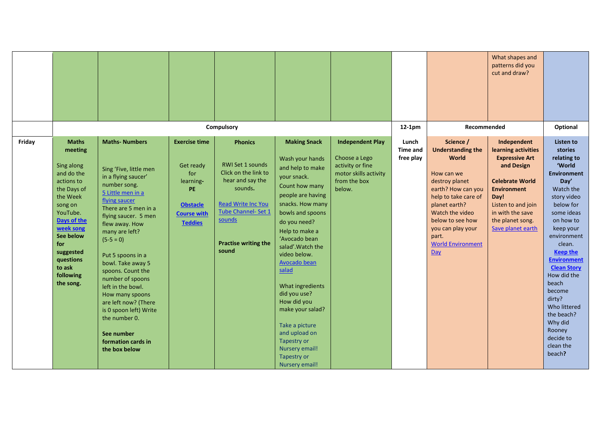|        |                                                                                                                                                                                                                                   |                                                                                                                                                                                                                                                                                                                                                                                                                                                                                 |                                                                                                                               | Compulsory                                                                                                                                                                                             |                                                                                                                                                                                                                                                                                                                                                                                                                                                              |                                                                                                                 | $12-1pm$                              | Recommended                                                                                                                                                                                                                                                         | What shapes and<br>patterns did you<br>cut and draw?                                                                                                                                                                 | Optional                                                                                                                                                                                                                                                                                                                                                                                |
|--------|-----------------------------------------------------------------------------------------------------------------------------------------------------------------------------------------------------------------------------------|---------------------------------------------------------------------------------------------------------------------------------------------------------------------------------------------------------------------------------------------------------------------------------------------------------------------------------------------------------------------------------------------------------------------------------------------------------------------------------|-------------------------------------------------------------------------------------------------------------------------------|--------------------------------------------------------------------------------------------------------------------------------------------------------------------------------------------------------|--------------------------------------------------------------------------------------------------------------------------------------------------------------------------------------------------------------------------------------------------------------------------------------------------------------------------------------------------------------------------------------------------------------------------------------------------------------|-----------------------------------------------------------------------------------------------------------------|---------------------------------------|---------------------------------------------------------------------------------------------------------------------------------------------------------------------------------------------------------------------------------------------------------------------|----------------------------------------------------------------------------------------------------------------------------------------------------------------------------------------------------------------------|-----------------------------------------------------------------------------------------------------------------------------------------------------------------------------------------------------------------------------------------------------------------------------------------------------------------------------------------------------------------------------------------|
| Friday | <b>Maths</b><br>meeting<br>Sing along<br>and do the<br>actions to<br>the Days of<br>the Week<br>song on<br>YouTube.<br>Days of the<br>week song<br>See below<br>for<br>suggested<br>questions<br>to ask<br>following<br>the song. | <b>Maths-Numbers</b><br>Sing 'Five, little men<br>in a flying saucer'<br>number song.<br>5 Little men in a<br>flying saucer<br>There are 5 men in a<br>flying saucer. 5 men<br>flew away. How<br>many are left?<br>$(5-5=0)$<br>Put 5 spoons in a<br>bowl. Take away 5<br>spoons. Count the<br>number of spoons<br>left in the bowl.<br>How many spoons<br>are left now? (There<br>is 0 spoon left) Write<br>the number 0.<br>See number<br>formation cards in<br>the box below | <b>Exercise time</b><br>Get ready<br>for<br>learning-<br><b>PE</b><br><b>Obstacle</b><br><b>Course with</b><br><b>Teddies</b> | <b>Phonics</b><br><b>RWI Set 1 sounds</b><br>Click on the link to<br>hear and say the<br>sounds.<br><b>Read Write Inc You</b><br>Tube Channel- Set 1<br>sounds<br><b>Practise writing the</b><br>sound | <b>Making Snack</b><br>Wash your hands<br>and help to make<br>your snack.<br>Count how many<br>people are having<br>snacks. How many<br>bowls and spoons<br>do you need?<br>Help to make a<br>'Avocado bean<br>salad'. Watch the<br>video below.<br><b>Avocado bean</b><br>salad<br>What ingredients<br>did you use?<br>How did you<br>make your salad?<br>Take a picture<br>and upload on<br>Tapestry or<br>Nursery email!<br>Tapestry or<br>Nursery email! | <b>Independent Play</b><br>Choose a Lego<br>activity or fine<br>motor skills activity<br>from the box<br>below. | Lunch<br><b>Time and</b><br>free play | Science /<br><b>Understanding the</b><br><b>World</b><br>How can we<br>destroy planet<br>earth? How can you<br>help to take care of<br>planet earth?<br>Watch the video<br>below to see how<br>you can play your<br>part.<br><b>World Environment</b><br><b>Day</b> | Independent<br>learning activities<br><b>Expressive Art</b><br>and Design<br><b>Celebrate World</b><br><b>Environment</b><br>Day!<br>Listen to and join<br>in with the save<br>the planet song.<br>Save planet earth | Listen to<br>stories<br>relating to<br>'World<br><b>Environment</b><br>Day'<br>Watch the<br>story video<br>below for<br>some ideas<br>on how to<br>keep your<br>environment<br>clean.<br><b>Keep the</b><br><b>Environment</b><br><b>Clean Story</b><br>How did the<br>beach<br>become<br>dirty?<br>Who littered<br>the beach?<br>Why did<br>Rooney<br>decide to<br>clean the<br>beach? |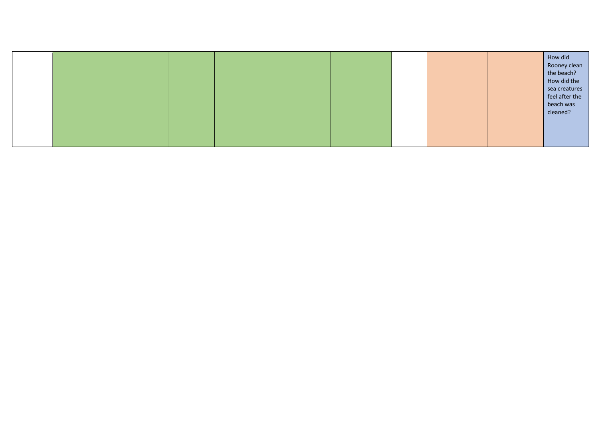|  |  |  |  |  | How did<br>Rooney clean<br>the beach?<br>How did the<br>sea creatures<br>feel after the<br>beach was<br>cleaned? |
|--|--|--|--|--|------------------------------------------------------------------------------------------------------------------|
|  |  |  |  |  |                                                                                                                  |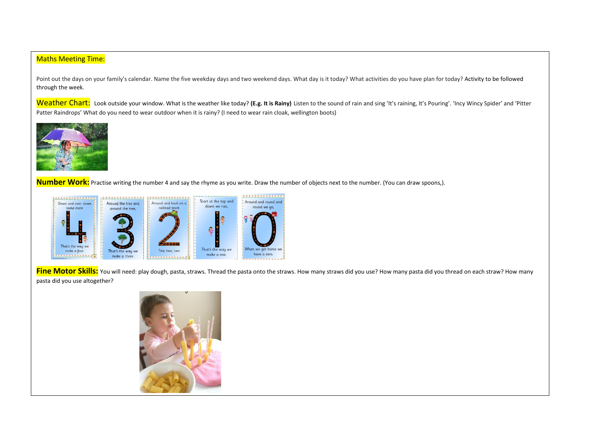## Maths Meeting Time:

Point out the days on your family's calendar. Name the five weekday days and two weekend days. What day is it today? What activities do you have plan for today? Activity to be followed through the week.

Weather Chart: Look outside your window. What is the weather like today? (E.g. It is Rainy) Listen to the sound of rain and sing 'It's raining, It's Pouring'. 'Incy Wincy Spider' and 'Pitter Patter Raindrops' What do you need to wear outdoor when it is rainy? (I need to wear rain cloak, wellington boots)



ֺ

**Number Work:** Practise writing the number 4 and say the rhyme as you write. Draw the number of objects next to the number. (You can draw spoons,).



**Fine Motor Skills:** You will need: play dough, pasta, straws. Thread the pasta onto the straws. How many straws did you use? How many pasta did you thread on each straw? How many pasta did you use altogether?